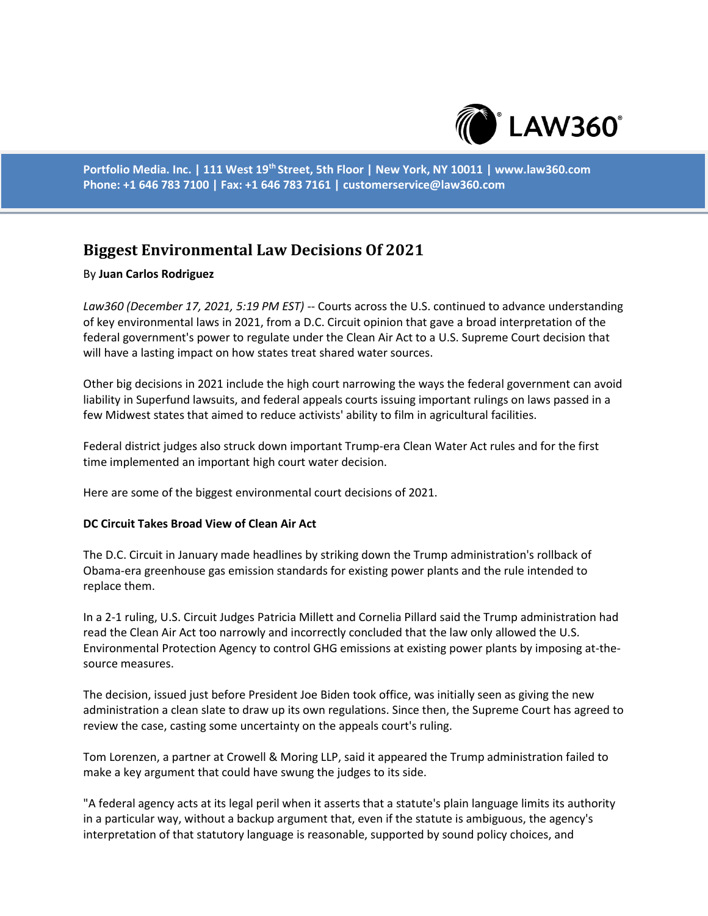

**Portfolio Media. Inc. | 111 West 19th Street, 5th Floor | New York, NY 10011 | www.law360.com Phone: +1 646 783 7100 | Fax: +1 646 783 7161 | customerservice@law360.com**

# **Biggest Environmental Law Decisions Of 2021**

## By **Juan Carlos Rodriguez**

*Law360 (December 17, 2021, 5:19 PM EST)* -- Courts across the U.S. continued to advance understanding of key environmental laws in 2021, from a D.C. Circuit opinion that gave a broad interpretation of the federal government's power to regulate under the Clean Air Act to a U.S. Supreme Court decision that will have a lasting impact on how states treat shared water sources.

Other big decisions in 2021 include the high court narrowing the ways the federal government can avoid liability in Superfund lawsuits, and federal appeals courts issuing important rulings on laws passed in a few Midwest states that aimed to reduce activists' ability to film in agricultural facilities.

Federal district judges also struck down important Trump-era Clean Water Act rules and for the first time implemented an important high court water decision.

Here are some of the biggest environmental court decisions of 2021.

#### **DC Circuit Takes Broad View of Clean Air Act**

The D.C. Circuit in January made headlines by striking down the Trump administration's rollback of Obama-era greenhouse gas emission standards for existing power plants and the rule intended to replace them.

In a 2-1 ruling, U.S. Circuit Judges Patricia Millett and Cornelia Pillard said the Trump administration had read the Clean Air Act too narrowly and incorrectly concluded that the law only allowed the U.S. Environmental Protection Agency to control GHG emissions at existing power plants by imposing at-thesource measures.

The decision, issued just before President Joe Biden took office, was initially seen as giving the new administration a clean slate to draw up its own regulations. Since then, the Supreme Court has agreed to review the case, casting some uncertainty on the appeals court's ruling.

Tom Lorenzen, a partner at Crowell & Moring LLP, said it appeared the Trump administration failed to make a key argument that could have swung the judges to its side.

"A federal agency acts at its legal peril when it asserts that a statute's plain language limits its authority in a particular way, without a backup argument that, even if the statute is ambiguous, the agency's interpretation of that statutory language is reasonable, supported by sound policy choices, and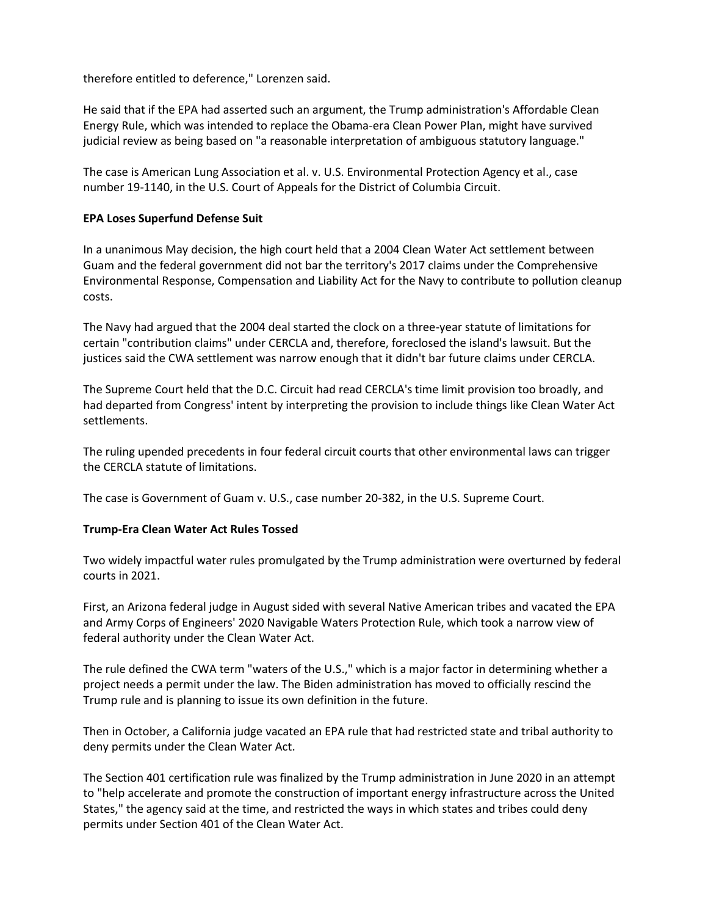therefore entitled to deference," Lorenzen said.

He said that if the EPA had asserted such an argument, the Trump administration's Affordable Clean Energy Rule, which was intended to replace the Obama-era Clean Power Plan, might have survived judicial review as being based on "a reasonable interpretation of ambiguous statutory language."

The case is American Lung Association et al. v. U.S. Environmental Protection Agency et al., case number 19-1140, in the U.S. Court of Appeals for the District of Columbia Circuit.

#### **EPA Loses Superfund Defense Suit**

In a unanimous May decision, the high court held that a 2004 Clean Water Act settlement between Guam and the federal government did not bar the territory's 2017 claims under the Comprehensive Environmental Response, Compensation and Liability Act for the Navy to contribute to pollution cleanup costs.

The Navy had argued that the 2004 deal started the clock on a three-year statute of limitations for certain "contribution claims" under CERCLA and, therefore, foreclosed the island's lawsuit. But the justices said the CWA settlement was narrow enough that it didn't bar future claims under CERCLA.

The Supreme Court held that the D.C. Circuit had read CERCLA's time limit provision too broadly, and had departed from Congress' intent by interpreting the provision to include things like Clean Water Act settlements.

The ruling upended precedents in four federal circuit courts that other environmental laws can trigger the CERCLA statute of limitations.

The case is Government of Guam v. U.S., case number 20-382, in the U.S. Supreme Court.

## **Trump-Era Clean Water Act Rules Tossed**

Two widely impactful water rules promulgated by the Trump administration were overturned by federal courts in 2021.

First, an Arizona federal judge in August sided with several Native American tribes and vacated the EPA and Army Corps of Engineers' 2020 Navigable Waters Protection Rule, which took a narrow view of federal authority under the Clean Water Act.

The rule defined the CWA term "waters of the U.S.," which is a major factor in determining whether a project needs a permit under the law. The Biden administration has moved to officially rescind the Trump rule and is planning to issue its own definition in the future.

Then in October, a California judge vacated an EPA rule that had restricted state and tribal authority to deny permits under the Clean Water Act.

The Section 401 certification rule was finalized by the Trump administration in June 2020 in an attempt to "help accelerate and promote the construction of important energy infrastructure across the United States," the agency said at the time, and restricted the ways in which states and tribes could deny permits under Section 401 of the Clean Water Act.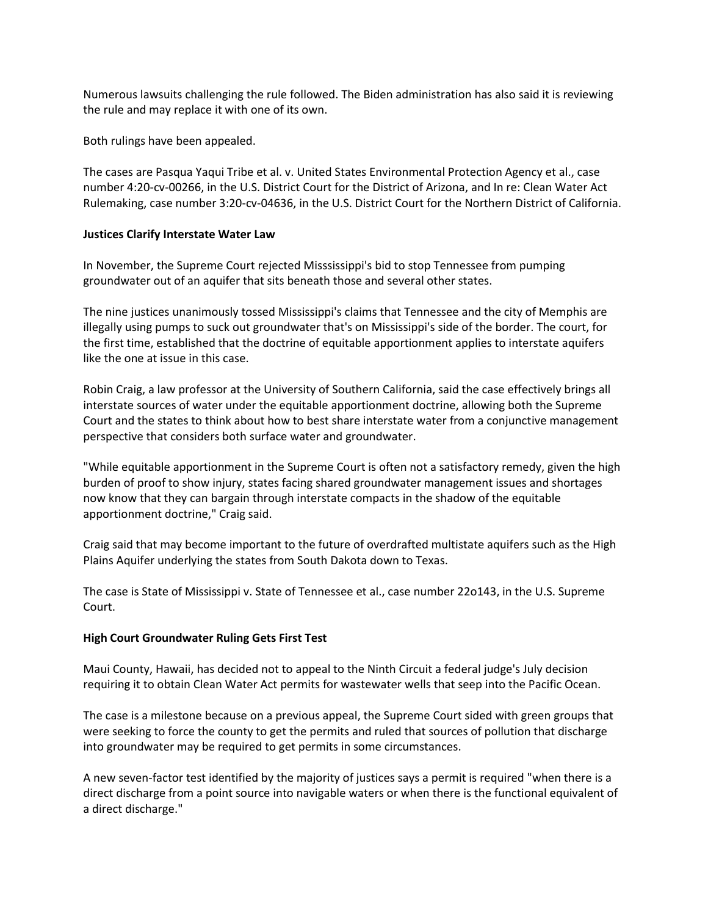Numerous lawsuits challenging the rule followed. The Biden administration has also said it is reviewing the rule and may replace it with one of its own.

Both rulings have been appealed.

The cases are Pasqua Yaqui Tribe et al. v. United States Environmental Protection Agency et al., case number 4:20-cv-00266, in the U.S. District Court for the District of Arizona, and In re: Clean Water Act Rulemaking, case number 3:20-cv-04636, in the U.S. District Court for the Northern District of California.

#### **Justices Clarify Interstate Water Law**

In November, the Supreme Court rejected Misssissippi's bid to stop Tennessee from pumping groundwater out of an aquifer that sits beneath those and several other states.

The nine justices unanimously tossed Mississippi's claims that Tennessee and the city of Memphis are illegally using pumps to suck out groundwater that's on Mississippi's side of the border. The court, for the first time, established that the doctrine of equitable apportionment applies to interstate aquifers like the one at issue in this case.

Robin Craig, a law professor at the University of Southern California, said the case effectively brings all interstate sources of water under the equitable apportionment doctrine, allowing both the Supreme Court and the states to think about how to best share interstate water from a conjunctive management perspective that considers both surface water and groundwater.

"While equitable apportionment in the Supreme Court is often not a satisfactory remedy, given the high burden of proof to show injury, states facing shared groundwater management issues and shortages now know that they can bargain through interstate compacts in the shadow of the equitable apportionment doctrine," Craig said.

Craig said that may become important to the future of overdrafted multistate aquifers such as the High Plains Aquifer underlying the states from South Dakota down to Texas.

The case is State of Mississippi v. State of Tennessee et al., case number 22o143, in the U.S. Supreme Court.

## **High Court Groundwater Ruling Gets First Test**

Maui County, Hawaii, has decided not to appeal to the Ninth Circuit a federal judge's July decision requiring it to obtain Clean Water Act permits for wastewater wells that seep into the Pacific Ocean.

The case is a milestone because on a previous appeal, the Supreme Court sided with green groups that were seeking to force the county to get the permits and ruled that sources of pollution that discharge into groundwater may be required to get permits in some circumstances.

A new seven-factor test identified by the majority of justices says a permit is required "when there is a direct discharge from a point source into navigable waters or when there is the functional equivalent of a direct discharge."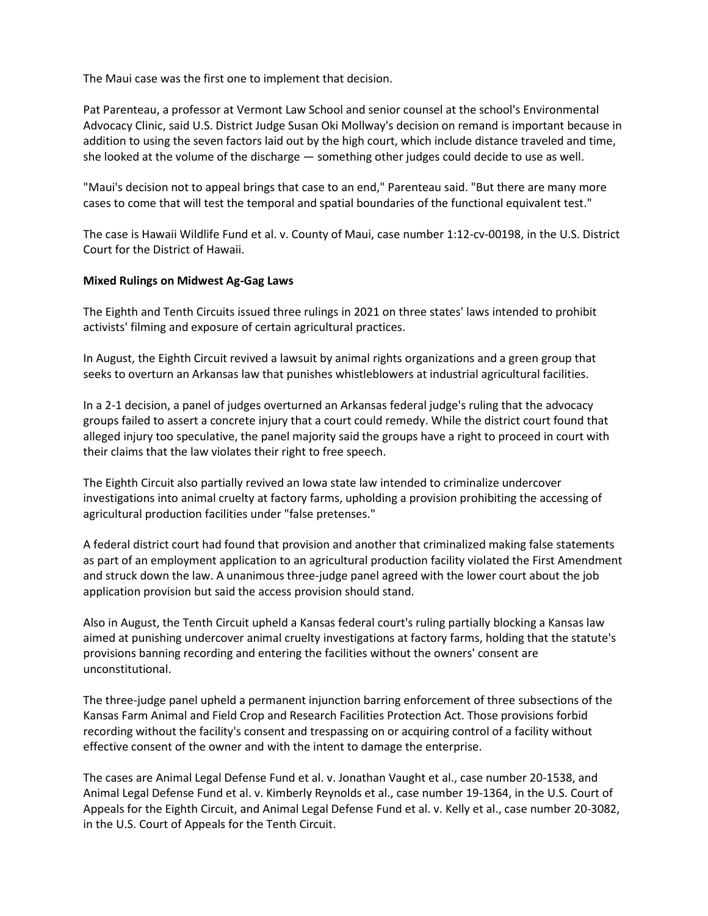The Maui case was the first one to implement that decision.

Pat Parenteau, a professor at Vermont Law School and senior counsel at the school's Environmental Advocacy Clinic, said U.S. District Judge Susan Oki Mollway's decision on remand is important because in addition to using the seven factors laid out by the high court, which include distance traveled and time, she looked at the volume of the discharge — something other judges could decide to use as well.

"Maui's decision not to appeal brings that case to an end," Parenteau said. "But there are many more cases to come that will test the temporal and spatial boundaries of the functional equivalent test."

The case is Hawaii Wildlife Fund et al. v. County of Maui, case number 1:12-cv-00198, in the U.S. District Court for the District of Hawaii.

## **Mixed Rulings on Midwest Ag-Gag Laws**

The Eighth and Tenth Circuits issued three rulings in 2021 on three states' laws intended to prohibit activists' filming and exposure of certain agricultural practices.

In August, the Eighth Circuit revived a lawsuit by animal rights organizations and a green group that seeks to overturn an Arkansas law that punishes whistleblowers at industrial agricultural facilities.

In a 2-1 decision, a panel of judges overturned an Arkansas federal judge's ruling that the advocacy groups failed to assert a concrete injury that a court could remedy. While the district court found that alleged injury too speculative, the panel majority said the groups have a right to proceed in court with their claims that the law violates their right to free speech.

The Eighth Circuit also partially revived an Iowa state law intended to criminalize undercover investigations into animal cruelty at factory farms, upholding a provision prohibiting the accessing of agricultural production facilities under "false pretenses."

A federal district court had found that provision and another that criminalized making false statements as part of an employment application to an agricultural production facility violated the First Amendment and struck down the law. A unanimous three-judge panel agreed with the lower court about the job application provision but said the access provision should stand.

Also in August, the Tenth Circuit upheld a Kansas federal court's ruling partially blocking a Kansas law aimed at punishing undercover animal cruelty investigations at factory farms, holding that the statute's provisions banning recording and entering the facilities without the owners' consent are unconstitutional.

The three-judge panel upheld a permanent injunction barring enforcement of three subsections of the Kansas Farm Animal and Field Crop and Research Facilities Protection Act. Those provisions forbid recording without the facility's consent and trespassing on or acquiring control of a facility without effective consent of the owner and with the intent to damage the enterprise.

The cases are Animal Legal Defense Fund et al. v. Jonathan Vaught et al., case number 20-1538, and Animal Legal Defense Fund et al. v. Kimberly Reynolds et al., case number 19-1364, in the U.S. Court of Appeals for the Eighth Circuit, and Animal Legal Defense Fund et al. v. Kelly et al., case number 20-3082, in the U.S. Court of Appeals for the Tenth Circuit.